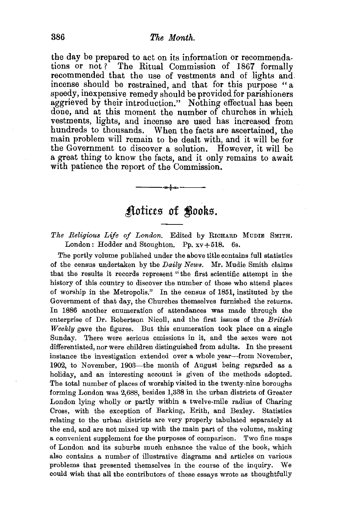the day be prepared to act on its information or recommendations or not? The Ritual Commission of 1867 formally recommended that the use of vestments and of lights and incense should be restrained, and that for this purpose " a speedy, inexpensive remedy should be provided for parishioners aggrieved by their introduction." Nothing effectual has been done, and at this moment the number of churches in which vestments, lights, and incense are used has increased from hundreds to thousands. When the facts are ascertained, the main problem will remain to be dealt with, and it will be for the Government to discover a solution. However, it will be a great thing to know the facts, and it only remains to await with patience the report of the Commission. ---&---

## Aotices of **Books**.

The Religious Life of London. Edited by RICHARD MUDIE SMITH. London: Hodder and Stoughton. Pp.  $xy + 518$ . 6s.

The portly volume published under the above title contains full statistics of the census undertaken by the *Daily News.* Mr. Mudie Smith claims that the results it records represent "the first scientific attempt in the history of this country to discover the number of those who attend places of worship in the Metropolis." In the census of 1851, instituted by the Government of that day, the Churches themselves furnished the returns. In 1886 another enumeration of attendances was made through the enterprise of Dr. Robertson Nicoll, and the first issues of the *British Weekly* gave the figures. But this enumeration took place on a single Sunday. There were serious omissions in it, and the sexes were not differentiated, nor were children distinguished from adults. In the present instance the investigation extended over a whole year-from November, 1902, to November, 1903-the month of August being regarded as a holiday, and an interesting account is given of the methods adopted. The total number of places of worship visited in the twenty-nine boroughs forming London was 2,688, besides 1,338 in the urban districts of Greater London lying wholly or partly within a twelve-mile radius of Charing Cross, with the exception of Barking, Erith, and Bexley. Statistics relating to the urban districts are very properly tabulated separately at the end, and are not mixed up with the main part of the volume, making a convenient supplement for the purposes of comparison. Two fine maps of London and its suburbs much enhance the value of the book, which also contains a number of illustrative diagrams and articles on various problems that presented themselves in the course of the inquiry. We could wish that all the contributors of these essays wrote as thoughtfully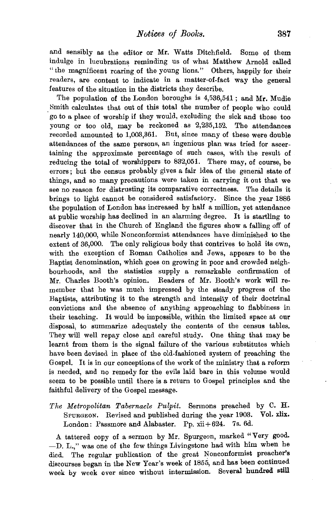and sensibly as the editor or Mr. Watts Ditchfield. Some of them indulge in lucubrations reminding us of what Matthew Arnold called "the magnificent roaring of the young lions." Others, happily for their readers, are content to indicate in a matter-of-fact way the general features of the situation in the districts they describe.

The population of the London boroughs is 4,536,541; and Mr. Mudie Smith calculates that out of this total the number of people who could . go to a place of worship if they would, excluding the sick and those too young or too old, may be reckoned as 2,235,152. The attendances recorded amounted to 1,003,361. But, since many of these were double attendances of the same persons, an ingenious plan was tried for ascertaining the approximate percentage of such cases, with the result of reducing the total of worshippers to 832,051. There may, of course, be errors; but the census probably gives a fair idea of the general state of things, and so many precautions were taken in carrying it out that we see no reason for distrusting its comparative correctness. The details it brings to light cannot be considered satisfactory. Since the year 1886 the population of London has increased by half a million, yet attendance at public worship has declined in an alarming degree. It is startling to discover that in the Church of England the figures show a falling off of nearly 140,000, while Nonconformist attendances have diminished to the extent of 36,000. The only religious body that contrives to hold its own, with the exception of Roman Catholics and Jews, appears to be the Baptist denomination, which goes on growing in poor and crowded neighbourhoods, and the statistics supply a remarkable confirmation of Mr. Charles Booth's opinion. Readers of Mr. Booth's work will remember that he was much impressed by the steady progress of the Baptists, attributing it to the strength and intensity of their doctrinal convictions and the absence of anything approaching to flabbiness in their teaching. It would be impossible, within the limited space at our disposal, to summarize adequately the contents of the census tables. They will well repay close and careful study. One thing that may be learnt from them is the signal failure of the various substitutes which have been devised in place of the old-fashioned system of preaching the Gospel. It is in our conceptions of the work of the ministry that a reform is needed, and no remedy for the evils laid bare in this volume would seem to be possible until there is a return to Gospel principles and the faithful delivery of the Gospel message.

*The Metropolitan Tabernacle Pulpit.* Sermons preached by C. H. SPURGEON. Revised and published during the year 1903. Vol. xlix. London: Passmore and Alabaster. Pp. xii+624. 7s. 6d.

A tattered copy of a sermon by Mr. Spurgeon, marked "Very good. -D. L.," was one of the few things Livingstone had with him when he died. The regular publication of the great Nonconformist preacher's discourses began in the New Year's week of 1855, and has been continued week by week ever since without intermission. Several hundred still